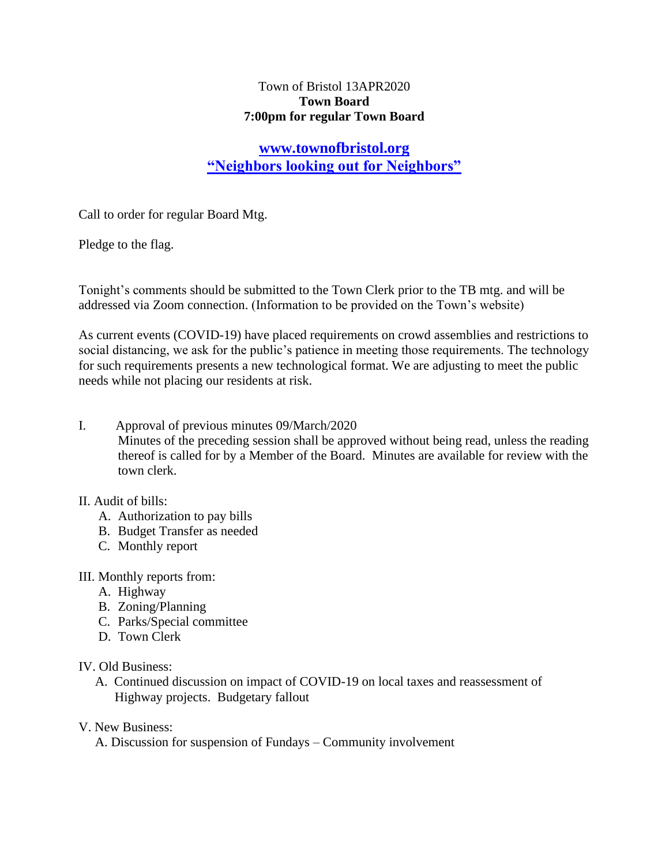## Town of Bristol 13APR2020 **Town Board 7:00pm for regular Town Board**

# **[www.townofbristol.org](http://www.townofbristol.org/) "Neighbors looking out for Neighbors"**

Call to order for regular Board Mtg.

Pledge to the flag.

Tonight's comments should be submitted to the Town Clerk prior to the TB mtg. and will be addressed via Zoom connection. (Information to be provided on the Town's website)

As current events (COVID-19) have placed requirements on crowd assemblies and restrictions to social distancing, we ask for the public's patience in meeting those requirements. The technology for such requirements presents a new technological format. We are adjusting to meet the public needs while not placing our residents at risk.

I. Approval of previous minutes 09/March/2020

Minutes of the preceding session shall be approved without being read, unless the reading thereof is called for by a Member of the Board. Minutes are available for review with the town clerk.

## II. Audit of bills:

- A. Authorization to pay bills
- B. Budget Transfer as needed
- C. Monthly report

III. Monthly reports from:

- A. Highway
- B. Zoning/Planning
- C. Parks/Special committee
- D. Town Clerk

#### IV. Old Business:

 A. Continued discussion on impact of COVID-19 on local taxes and reassessment of Highway projects. Budgetary fallout

## V. New Business:

A. Discussion for suspension of Fundays – Community involvement